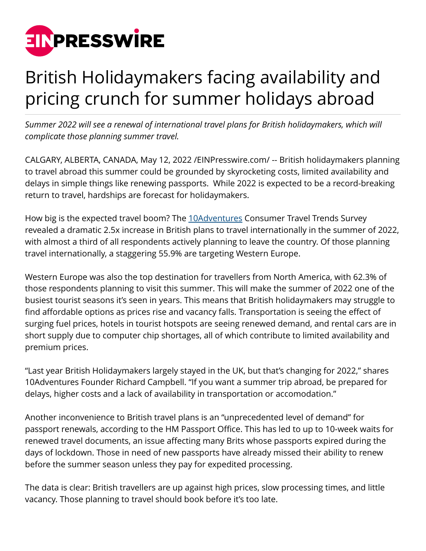

## British Holidaymakers facing availability and pricing crunch for summer holidays abroad

*Summer 2022 will see a renewal of international travel plans for British holidaymakers, which will complicate those planning summer travel.*

CALGARY, ALBERTA, CANADA, May 12, 2022 [/EINPresswire.com](http://www.einpresswire.com)/ -- British holidaymakers planning to travel abroad this summer could be grounded by skyrocketing costs, limited availability and delays in simple things like renewing passports. While 2022 is expected to be a record-breaking return to travel, hardships are forecast for holidaymakers.

How big is the expected travel boom? The [10Adventures](https://www.10adventures.com/) Consumer Travel Trends Survey revealed a dramatic 2.5x increase in British plans to travel internationally in the summer of 2022, with almost a third of all respondents actively planning to leave the country. Of those planning travel internationally, a staggering 55.9% are targeting Western Europe.

Western Europe was also the top destination for travellers from North America, with 62.3% of those respondents planning to visit this summer. This will make the summer of 2022 one of the busiest tourist seasons it's seen in years. This means that British holidaymakers may struggle to find affordable options as prices rise and vacancy falls. Transportation is seeing the effect of surging fuel prices, hotels in tourist hotspots are seeing renewed demand, and rental cars are in short supply due to computer chip shortages, all of which contribute to limited availability and premium prices.

"Last year British Holidaymakers largely stayed in the UK, but that's changing for 2022," shares 10Adventures Founder Richard Campbell. "If you want a summer trip abroad, be prepared for delays, higher costs and a lack of availability in transportation or accomodation."

Another inconvenience to British travel plans is an "unprecedented level of demand" for passport renewals, according to the HM Passport Office. This has led to up to 10-week waits for renewed travel documents, an issue affecting many Brits whose passports expired during the days of lockdown. Those in need of new passports have already missed their ability to renew before the summer season unless they pay for expedited processing.

The data is clear: British travellers are up against high prices, slow processing times, and little vacancy. Those planning to travel should book before it's too late.